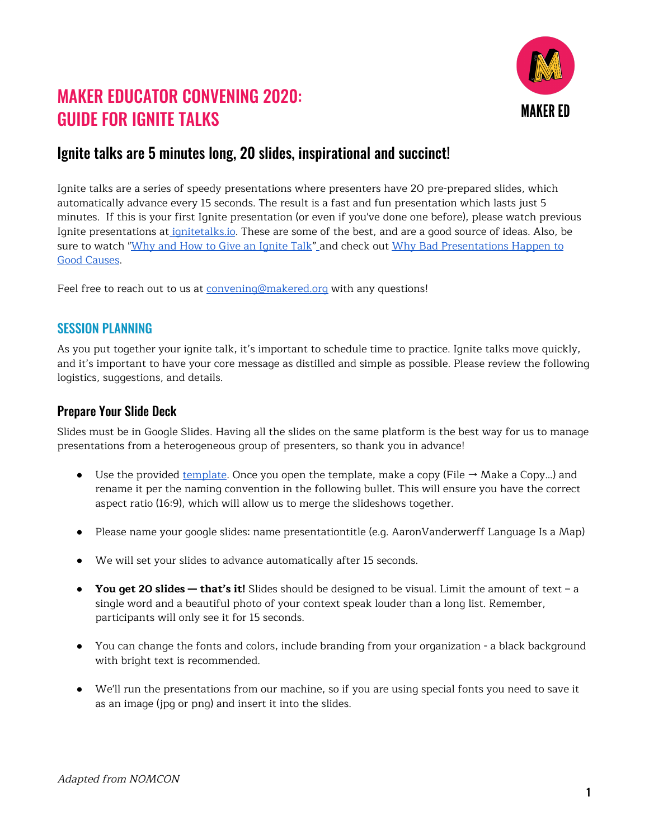

# MAKER EDUCATOR CONVENING 2020: GUIDE FOR IGNITE TALKS

# Ignite talks are 5 minutes long, 20 slides, inspirational and succinct!

Ignite talks are a series of speedy presentations where presenters have 20 pre-prepared slides, which automatically advance every 15 seconds. The result is a fast and fun presentation which lasts just 5 minutes. If this is your first Ignite presentation (or even if you've done one before), please watch previous Ignite presentations at [ignitetalks.io](http://www.ignitetalks.io/). These are some of the best, and are a good source of ideas. Also, be sure to watch "Why and How to Give an [Ignite](https://www.youtube.com/watch?v=rRa1IPkBFbg) Talk["](https://www.youtube.com/watch?v=rRa1IPkBFbg) and check out Why Bad [Presentations](https://www.poppov.org/wp-content/uploads/2018/03/WhyBadPresentations.pdf) Happen to Good [Causes](https://www.poppov.org/wp-content/uploads/2018/03/WhyBadPresentations.pdf).

Feel free to reach out to us at [convening@makered.org](mailto:convening@makered.org) with any questions!

# SESSION PLANNING

As you put together your ignite talk, it's important to schedule time to practice. Ignite talks move quickly, and it's important to have your core message as distilled and simple as possible. Please review the following logistics, suggestions, and details.

#### Prepare Your Slide Deck

Slides must be in Google Slides. Having all the slides on the same platform is the best way for us to manage presentations from a heterogeneous group of presenters, so thank you in advance!

- Use the provided [template](https://docs.google.com/presentation/d/1keDNmaVZtFiSlNSrmUe50we2tHfwuA717tRwzX1AATs/edit?usp=sharing). Once you open the template, make a copy (File  $\rightarrow$  Make a Copy...) and rename it per the naming convention in the following bullet. This will ensure you have the correct aspect ratio (16:9), which will allow us to merge the slideshows together.
- Please name your google slides: name presentationtitle (e.g. AaronVanderwerff Language Is a Map)
- We will set your slides to advance automatically after 15 seconds.
- **You get 20 slides — that's it!** Slides should be designed to be visual. Limit the amount of text a single word and a beautiful photo of your context speak louder than a long list. Remember, participants will only see it for 15 seconds.
- You can change the fonts and colors, include branding from your organization a black background with bright text is recommended.
- We'll run the presentations from our machine, so if you are using special fonts you need to save it as an image (jpg or png) and insert it into the slides.